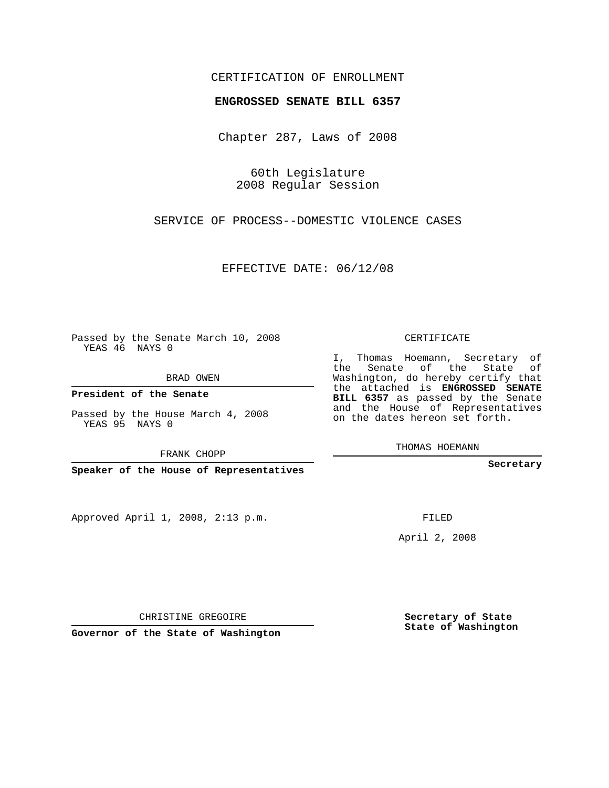## CERTIFICATION OF ENROLLMENT

## **ENGROSSED SENATE BILL 6357**

Chapter 287, Laws of 2008

60th Legislature 2008 Regular Session

SERVICE OF PROCESS--DOMESTIC VIOLENCE CASES

EFFECTIVE DATE: 06/12/08

Passed by the Senate March 10, 2008 YEAS 46 NAYS 0

BRAD OWEN

**President of the Senate**

Passed by the House March 4, 2008 YEAS 95 NAYS 0

FRANK CHOPP

**Speaker of the House of Representatives**

Approved April 1, 2008, 2:13 p.m.

CERTIFICATE

I, Thomas Hoemann, Secretary of the Senate of the State of Washington, do hereby certify that the attached is **ENGROSSED SENATE BILL 6357** as passed by the Senate and the House of Representatives on the dates hereon set forth.

THOMAS HOEMANN

**Secretary**

FILED

April 2, 2008

**Secretary of State State of Washington**

CHRISTINE GREGOIRE

**Governor of the State of Washington**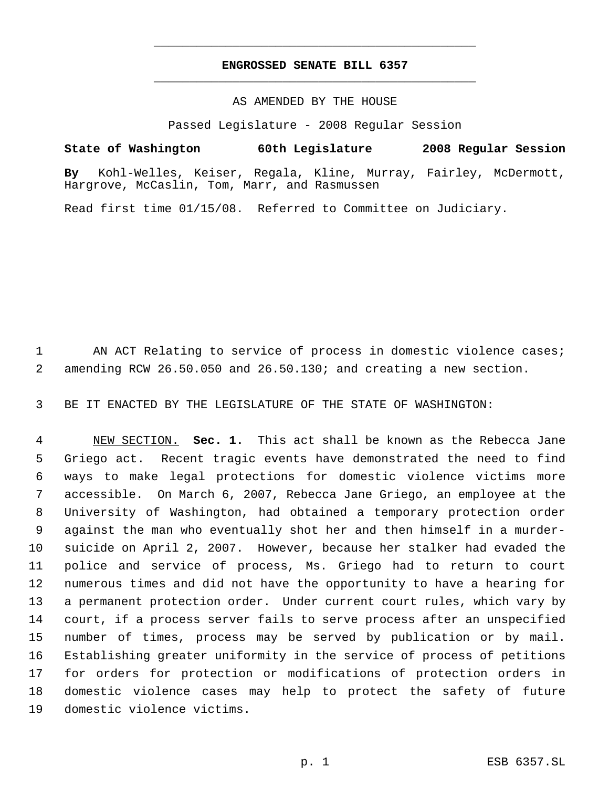## **ENGROSSED SENATE BILL 6357** \_\_\_\_\_\_\_\_\_\_\_\_\_\_\_\_\_\_\_\_\_\_\_\_\_\_\_\_\_\_\_\_\_\_\_\_\_\_\_\_\_\_\_\_\_

\_\_\_\_\_\_\_\_\_\_\_\_\_\_\_\_\_\_\_\_\_\_\_\_\_\_\_\_\_\_\_\_\_\_\_\_\_\_\_\_\_\_\_\_\_

## AS AMENDED BY THE HOUSE

Passed Legislature - 2008 Regular Session

**State of Washington 60th Legislature 2008 Regular Session By** Kohl-Welles, Keiser, Regala, Kline, Murray, Fairley, McDermott, Hargrove, McCaslin, Tom, Marr, and Rasmussen

Read first time 01/15/08. Referred to Committee on Judiciary.

1 AN ACT Relating to service of process in domestic violence cases; amending RCW 26.50.050 and 26.50.130; and creating a new section.

BE IT ENACTED BY THE LEGISLATURE OF THE STATE OF WASHINGTON:

 NEW SECTION. **Sec. 1.** This act shall be known as the Rebecca Jane Griego act. Recent tragic events have demonstrated the need to find ways to make legal protections for domestic violence victims more accessible. On March 6, 2007, Rebecca Jane Griego, an employee at the University of Washington, had obtained a temporary protection order against the man who eventually shot her and then himself in a murder- suicide on April 2, 2007. However, because her stalker had evaded the police and service of process, Ms. Griego had to return to court numerous times and did not have the opportunity to have a hearing for a permanent protection order. Under current court rules, which vary by court, if a process server fails to serve process after an unspecified number of times, process may be served by publication or by mail. Establishing greater uniformity in the service of process of petitions for orders for protection or modifications of protection orders in domestic violence cases may help to protect the safety of future domestic violence victims.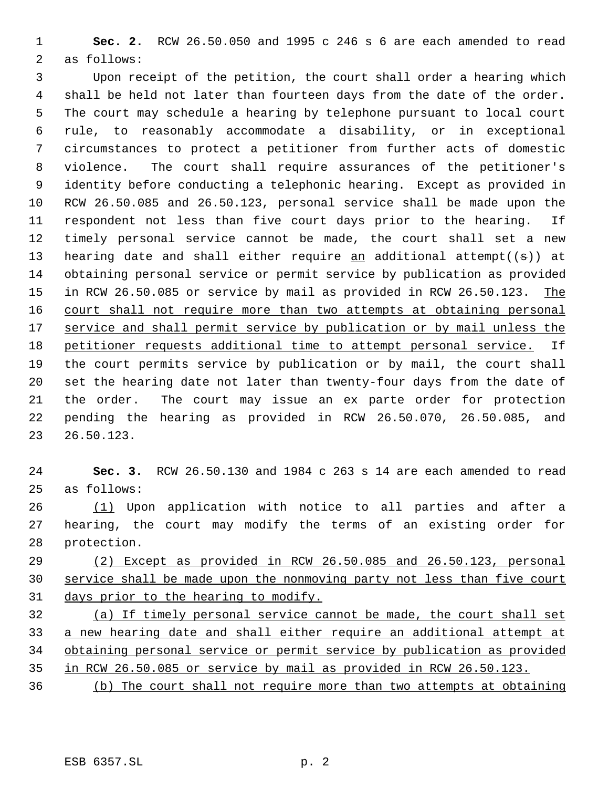**Sec. 2.** RCW 26.50.050 and 1995 c 246 s 6 are each amended to read as follows:

 Upon receipt of the petition, the court shall order a hearing which shall be held not later than fourteen days from the date of the order. The court may schedule a hearing by telephone pursuant to local court rule, to reasonably accommodate a disability, or in exceptional circumstances to protect a petitioner from further acts of domestic violence. The court shall require assurances of the petitioner's identity before conducting a telephonic hearing. Except as provided in RCW 26.50.085 and 26.50.123, personal service shall be made upon the respondent not less than five court days prior to the hearing. If timely personal service cannot be made, the court shall set a new 13 hearing date and shall either require  $\underline{an}$  additional attempt((s)) at obtaining personal service or permit service by publication as provided 15 in RCW 26.50.085 or service by mail as provided in RCW 26.50.123. The 16 court shall not require more than two attempts at obtaining personal 17 service and shall permit service by publication or by mail unless the petitioner requests additional time to attempt personal service. If the court permits service by publication or by mail, the court shall set the hearing date not later than twenty-four days from the date of the order. The court may issue an ex parte order for protection pending the hearing as provided in RCW 26.50.070, 26.50.085, and 26.50.123.

 **Sec. 3.** RCW 26.50.130 and 1984 c 263 s 14 are each amended to read as follows:

 (1) Upon application with notice to all parties and after a hearing, the court may modify the terms of an existing order for protection.

 (2) Except as provided in RCW 26.50.085 and 26.50.123, personal service shall be made upon the nonmoving party not less than five court days prior to the hearing to modify.

 (a) If timely personal service cannot be made, the court shall set a new hearing date and shall either require an additional attempt at obtaining personal service or permit service by publication as provided in RCW 26.50.085 or service by mail as provided in RCW 26.50.123.

(b) The court shall not require more than two attempts at obtaining